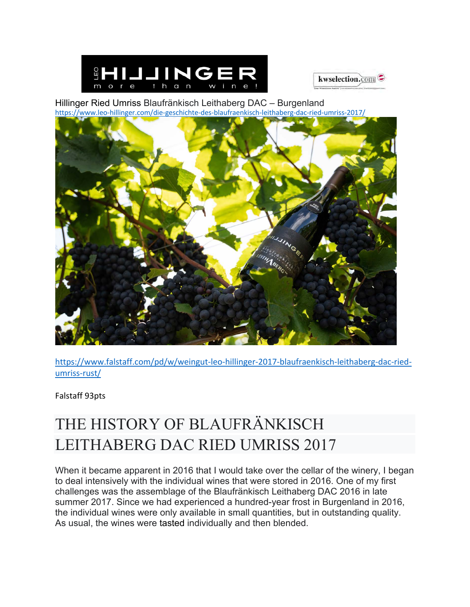



Hillinger Ried Umriss Blaufränkisch Leithaberg DAC – Burgenland https://www.leo-hillinger.com/die-geschichte-des-blaufraenkisch-leithaberg-dac-ried-umriss-2017/



https://www.falstaff.com/pd/w/weingut-leo-hillinger-2017-blaufraenkisch-leithaberg-dac-riedumriss-rust/

Falstaff 93pts

## THE HISTORY OF BLAUFRÄNKISCH LEITHABERG DAC RIED UMRISS 2017

When it became apparent in 2016 that I would take over the cellar of the winery, I began to deal intensively with the individual wines that were stored in 2016. One of my first challenges was the assemblage of the Blaufränkisch Leithaberg DAC 2016 in late summer 2017. Since we had experienced a hundred-year frost in Burgenland in 2016, the individual wines were only available in small quantities, but in outstanding quality. As usual, the wines were tasted individually and then blended.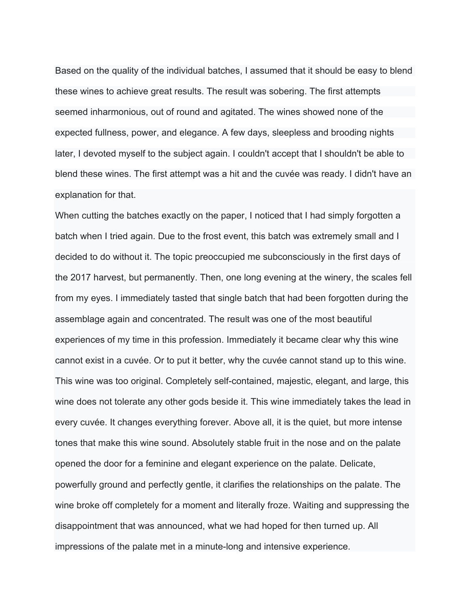Based on the quality of the individual batches, I assumed that it should be easy to blend these wines to achieve great results. The result was sobering. The first attempts seemed inharmonious, out of round and agitated. The wines showed none of the expected fullness, power, and elegance. A few days, sleepless and brooding nights later, I devoted myself to the subject again. I couldn't accept that I shouldn't be able to blend these wines. The first attempt was a hit and the cuvée was ready. I didn't have an explanation for that.

When cutting the batches exactly on the paper, I noticed that I had simply forgotten a batch when I tried again. Due to the frost event, this batch was extremely small and I decided to do without it. The topic preoccupied me subconsciously in the first days of the 2017 harvest, but permanently. Then, one long evening at the winery, the scales fell from my eyes. I immediately tasted that single batch that had been forgotten during the assemblage again and concentrated. The result was one of the most beautiful experiences of my time in this profession. Immediately it became clear why this wine cannot exist in a cuvée. Or to put it better, why the cuvée cannot stand up to this wine. This wine was too original. Completely self-contained, majestic, elegant, and large, this wine does not tolerate any other gods beside it. This wine immediately takes the lead in every cuvée. It changes everything forever. Above all, it is the quiet, but more intense tones that make this wine sound. Absolutely stable fruit in the nose and on the palate opened the door for a feminine and elegant experience on the palate. Delicate, powerfully ground and perfectly gentle, it clarifies the relationships on the palate. The wine broke off completely for a moment and literally froze. Waiting and suppressing the disappointment that was announced, what we had hoped for then turned up. All impressions of the palate met in a minute-long and intensive experience.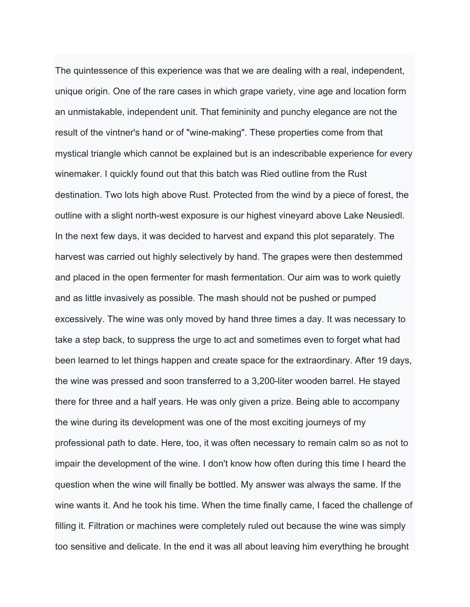The quintessence of this experience was that we are dealing with a real, independent, unique origin. One of the rare cases in which grape variety, vine age and location form an unmistakable, independent unit. That femininity and punchy elegance are not the result of the vintner's hand or of "wine-making". These properties come from that mystical triangle which cannot be explained but is an indescribable experience for every winemaker. I quickly found out that this batch was Ried outline from the Rust destination. Two lots high above Rust. Protected from the wind by a piece of forest, the outline with a slight north-west exposure is our highest vineyard above Lake Neusiedl. In the next few days, it was decided to harvest and expand this plot separately. The harvest was carried out highly selectively by hand. The grapes were then destemmed and placed in the open fermenter for mash fermentation. Our aim was to work quietly and as little invasively as possible. The mash should not be pushed or pumped excessively. The wine was only moved by hand three times a day. It was necessary to take a step back, to suppress the urge to act and sometimes even to forget what had been learned to let things happen and create space for the extraordinary. After 19 days, the wine was pressed and soon transferred to a 3,200-liter wooden barrel. He stayed there for three and a half years. He was only given a prize. Being able to accompany the wine during its development was one of the most exciting journeys of my professional path to date. Here, too, it was often necessary to remain calm so as not to impair the development of the wine. I don't know how often during this time I heard the question when the wine will finally be bottled. My answer was always the same. If the wine wants it. And he took his time. When the time finally came, I faced the challenge of filling it. Filtration or machines were completely ruled out because the wine was simply too sensitive and delicate. In the end it was all about leaving him everything he brought